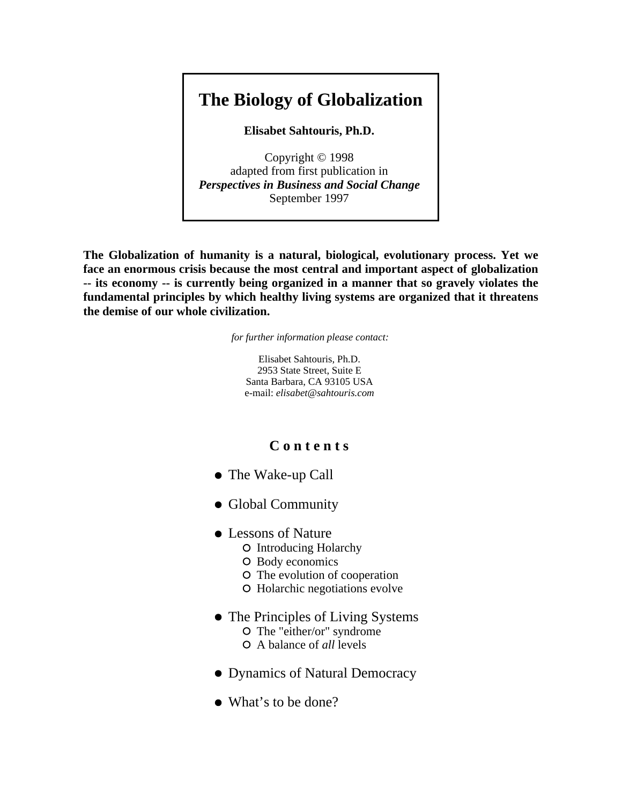# **The Biology of Globalization**

**Elisabet Sahtouris, Ph.D.** 

Copyright © 1998 adapted from first publication in *Perspectives in Business and Social Change*  September 1997

**The Globalization of humanity is a natural, biological, evolutionary process. Yet we face an enormous crisis because the most central and important aspect of globalization -- its economy -- is currently being organized in a manner that so gravely violates the fundamental principles by which healthy living systems are organized that it threatens the demise of our whole civilization.** 

*for further information please contact:*

Elisabet Sahtouris, Ph.D. 2953 State Street, Suite E Santa Barbara, CA 93105 USA e-mail: *elisabet@sahtouris.com*

# **C o n t e n t s**

- The Wake-up Call
- Global Community
- Lessons of Nature
	- Introducing Holarchy
	- O Body economics
	- The evolution of cooperation
	- Holarchic negotiations evolve
- The Principles of Living Systems O The "either/or" syndrome
	- A balance of *all* levels
- Dynamics of Natural Democracy
- What's to be done?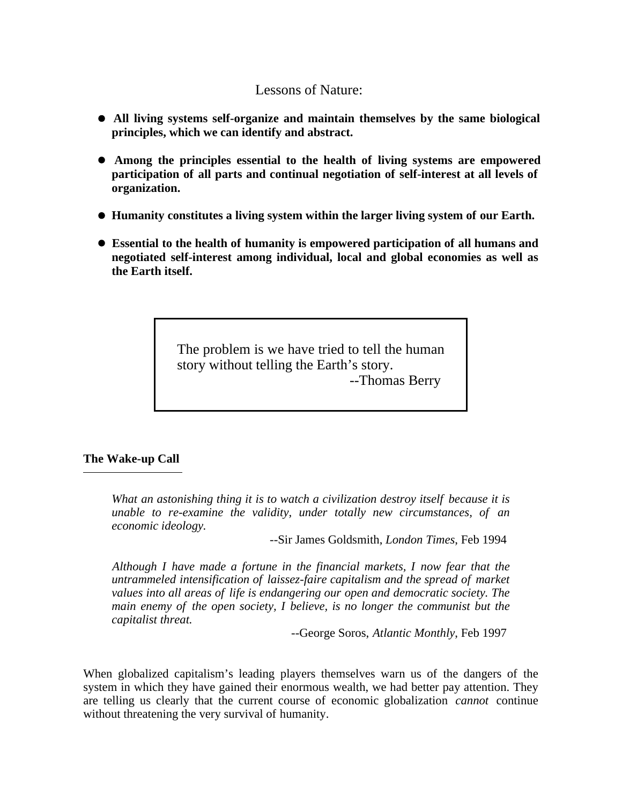## Lessons of Nature:

- **All living systems self-organize and maintain themselves by the same biological principles, which we can identify and abstract.**
- **Among the principles essential to the health of living systems are empowered participation of all parts and continual negotiation of self-interest at all levels of organization.**
- **Humanity constitutes a living system within the larger living system of our Earth.**
- **Essential to the health of humanity is empowered participation of all humans and negotiated self-interest among individual, local and global economies as well as the Earth itself.**

The problem is we have tried to tell the human story without telling the Earth's story. --Thomas Berry

#### **The Wake-up Call**

*What an astonishing thing it is to watch a civilization destroy itself because it is unable to re-examine the validity, under totally new circumstances, of an economic ideology.*

--Sir James Goldsmith, *London Times*, Feb 1994

*Although I have made a fortune in the financial markets, I now fear that the untrammeled intensification of laissez-faire capitalism and the spread of market values into all areas of life is endangering our open and democratic society. The main enemy of the open society, I believe, is no longer the communist but the capitalist threat.*

--George Soros, *Atlantic Monthly*, Feb 1997

When globalized capitalism's leading players themselves warn us of the dangers of the system in which they have gained their enormous wealth, we had better pay attention. They are telling us clearly that the current course of economic globalization *cannot* continue without threatening the very survival of humanity.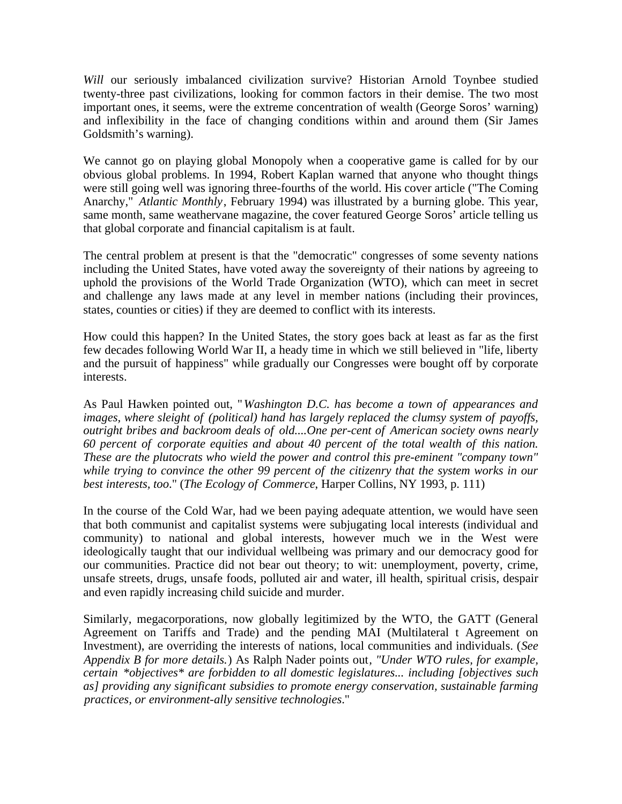*Will* our seriously imbalanced civilization survive? Historian Arnold Toynbee studied twenty-three past civilizations, looking for common factors in their demise. The two most important ones, it seems, were the extreme concentration of wealth (George Soros' warning) and inflexibility in the face of changing conditions within and around them (Sir James Goldsmith's warning).

We cannot go on playing global Monopoly when a cooperative game is called for by our obvious global problems. In 1994, Robert Kaplan warned that anyone who thought things were still going well was ignoring three-fourths of the world. His cover article ("The Coming Anarchy," *Atlantic Monthly*, February 1994) was illustrated by a burning globe. This year, same month, same weathervane magazine, the cover featured George Soros' article telling us that global corporate and financial capitalism is at fault.

The central problem at present is that the "democratic" congresses of some seventy nations including the United States, have voted away the sovereignty of their nations by agreeing to uphold the provisions of the World Trade Organization (WTO), which can meet in secret and challenge any laws made at any level in member nations (including their provinces, states, counties or cities) if they are deemed to conflict with its interests.

How could this happen? In the United States, the story goes back at least as far as the first few decades following World War II, a heady time in which we still believed in "life, liberty and the pursuit of happiness" while gradually our Congresses were bought off by corporate interests.

As Paul Hawken pointed out, "*Washington D.C. has become a town of appearances and images, where sleight of (political) hand has largely replaced the clumsy system of payoffs, outright bribes and backroom deals of old....One per-cent of American society owns nearly 60 percent of corporate equities and about 40 percent of the total wealth of this nation. These are the plutocrats who wield the power and control this pre-eminent "company town" while trying to convince the other 99 percent of the citizenry that the system works in our best interests, too*." (*The Ecology of Commerce*, Harper Collins, NY 1993, p. 111)

In the course of the Cold War, had we been paying adequate attention, we would have seen that both communist and capitalist systems were subjugating local interests (individual and community) to national and global interests, however much we in the West were ideologically taught that our individual wellbeing was primary and our democracy good for our communities. Practice did not bear out theory; to wit: unemployment, poverty, crime, unsafe streets, drugs, unsafe foods, polluted air and water, ill health, spiritual crisis, despair and even rapidly increasing child suicide and murder.

Similarly, megacorporations, now globally legitimized by the WTO, the GATT (General Agreement on Tariffs and Trade) and the pending MAI (Multilateral t Agreement on Investment), are overriding the interests of nations, local communities and individuals. (*See Appendix B for more details.*) As Ralph Nader points out*, "Under WTO rules, for example, certain \*objectives\* are forbidden to all domestic legislatures... including [objectives such as] providing any significant subsidies to promote energy conservation, sustainable farming practices, or environment-ally sensitive technologies*."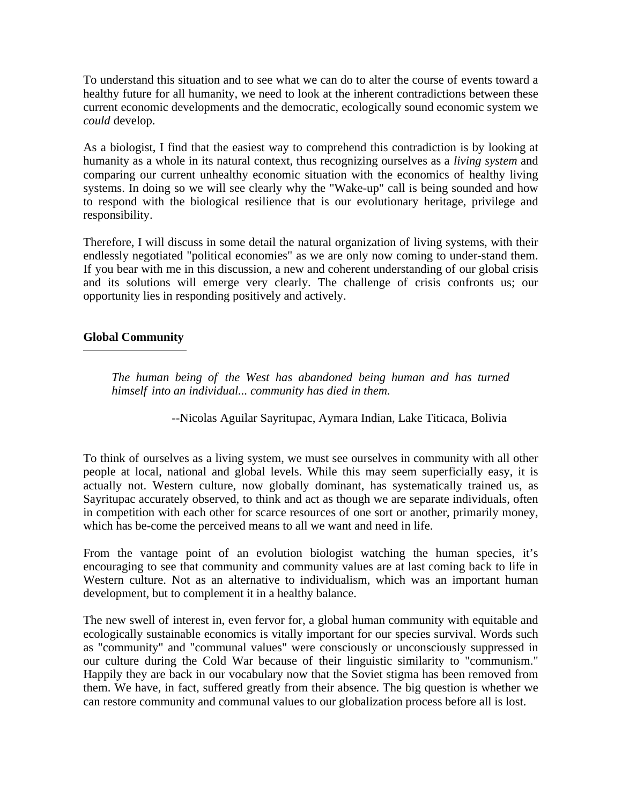To understand this situation and to see what we can do to alter the course of events toward a healthy future for all humanity, we need to look at the inherent contradictions between these current economic developments and the democratic, ecologically sound economic system we *could* develop.

As a biologist, I find that the easiest way to comprehend this contradiction is by looking at humanity as a whole in its natural context, thus recognizing ourselves as a *living system* and comparing our current unhealthy economic situation with the economics of healthy living systems. In doing so we will see clearly why the "Wake-up" call is being sounded and how to respond with the biological resilience that is our evolutionary heritage, privilege and responsibility.

Therefore, I will discuss in some detail the natural organization of living systems, with their endlessly negotiated "political economies" as we are only now coming to under-stand them. If you bear with me in this discussion, a new and coherent understanding of our global crisis and its solutions will emerge very clearly. The challenge of crisis confronts us; our opportunity lies in responding positively and actively.

# **Global Community**

*The human being of the West has abandoned being human and has turned himself into an individual... community has died in them.*

--Nicolas Aguilar Sayritupac, Aymara Indian, Lake Titicaca, Bolivia

To think of ourselves as a living system, we must see ourselves in community with all other people at local, national and global levels. While this may seem superficially easy, it is actually not. Western culture, now globally dominant, has systematically trained us, as Sayritupac accurately observed, to think and act as though we are separate individuals, often in competition with each other for scarce resources of one sort or another, primarily money, which has be-come the perceived means to all we want and need in life.

From the vantage point of an evolution biologist watching the human species, it's encouraging to see that community and community values are at last coming back to life in Western culture. Not as an alternative to individualism, which was an important human development, but to complement it in a healthy balance.

The new swell of interest in, even fervor for, a global human community with equitable and ecologically sustainable economics is vitally important for our species survival. Words such as "community" and "communal values" were consciously or unconsciously suppressed in our culture during the Cold War because of their linguistic similarity to "communism." Happily they are back in our vocabulary now that the Soviet stigma has been removed from them. We have, in fact, suffered greatly from their absence. The big question is whether we can restore community and communal values to our globalization process before all is lost.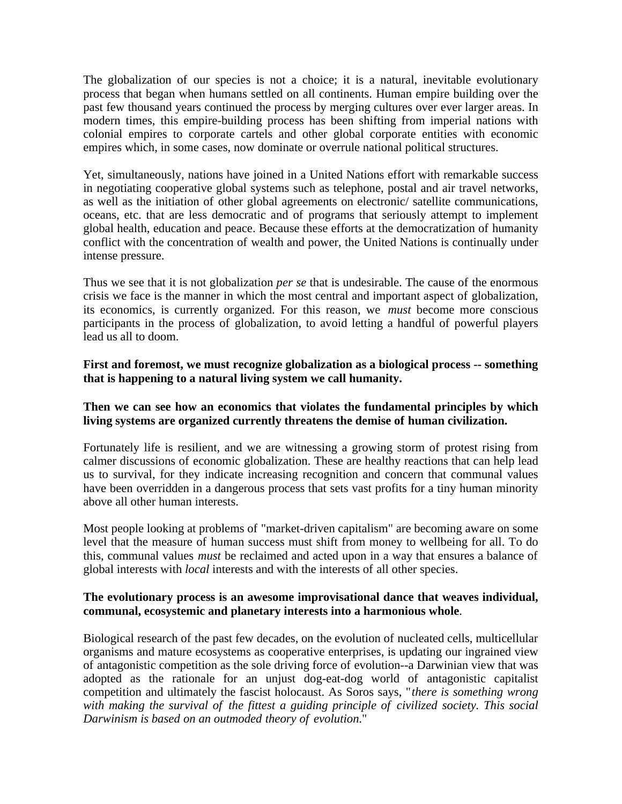The globalization of our species is not a choice; it is a natural, inevitable evolutionary process that began when humans settled on all continents. Human empire building over the past few thousand years continued the process by merging cultures over ever larger areas. In modern times, this empire-building process has been shifting from imperial nations with colonial empires to corporate cartels and other global corporate entities with economic empires which, in some cases, now dominate or overrule national political structures.

Yet, simultaneously, nations have joined in a United Nations effort with remarkable success in negotiating cooperative global systems such as telephone, postal and air travel networks, as well as the initiation of other global agreements on electronic/ satellite communications, oceans, etc. that are less democratic and of programs that seriously attempt to implement global health, education and peace. Because these efforts at the democratization of humanity conflict with the concentration of wealth and power, the United Nations is continually under intense pressure.

Thus we see that it is not globalization *per se* that is undesirable. The cause of the enormous crisis we face is the manner in which the most central and important aspect of globalization, its economics, is currently organized. For this reason, we *must* become more conscious participants in the process of globalization, to avoid letting a handful of powerful players lead us all to doom.

## **First and foremost, we must recognize globalization as a biological process -- something that is happening to a natural living system we call humanity.**

## **Then we can see how an economics that violates the fundamental principles by which living systems are organized currently threatens the demise of human civilization.**

Fortunately life is resilient, and we are witnessing a growing storm of protest rising from calmer discussions of economic globalization. These are healthy reactions that can help lead us to survival, for they indicate increasing recognition and concern that communal values have been overridden in a dangerous process that sets vast profits for a tiny human minority above all other human interests.

Most people looking at problems of "market-driven capitalism" are becoming aware on some level that the measure of human success must shift from money to wellbeing for all. To do this, communal values *must* be reclaimed and acted upon in a way that ensures a balance of global interests with *local* interests and with the interests of all other species.

## **The evolutionary process is an awesome improvisational dance that weaves individual, communal, ecosystemic and planetary interests into a harmonious whole**.

Biological research of the past few decades, on the evolution of nucleated cells, multicellular organisms and mature ecosystems as cooperative enterprises, is updating our ingrained view of antagonistic competition as the sole driving force of evolution--a Darwinian view that was adopted as the rationale for an unjust dog-eat-dog world of antagonistic capitalist competition and ultimately the fascist holocaust. As Soros says, "*there is something wrong with making the survival of the fittest a guiding principle of civilized society. This social Darwinism is based on an outmoded theory of evolution*."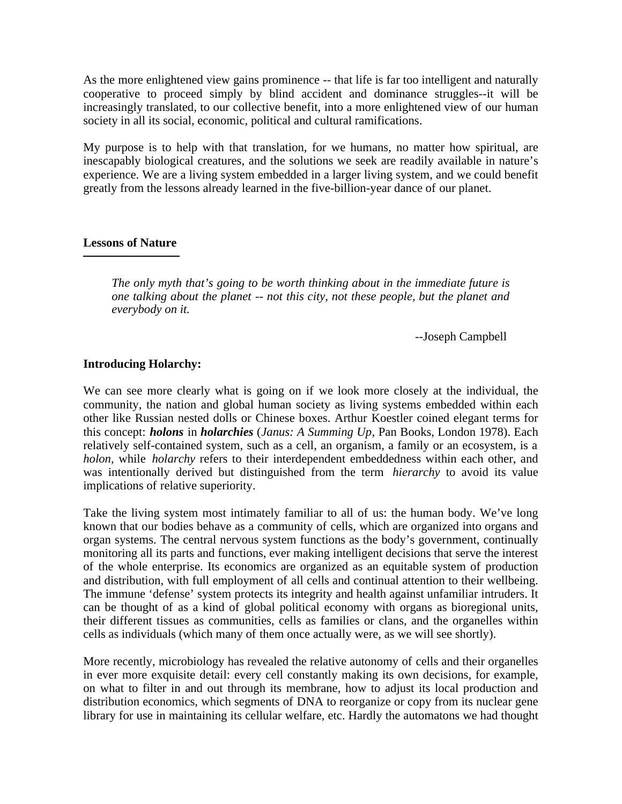As the more enlightened view gains prominence -- that life is far too intelligent and naturally cooperative to proceed simply by blind accident and dominance struggles--it will be increasingly translated, to our collective benefit, into a more enlightened view of our human society in all its social, economic, political and cultural ramifications.

My purpose is to help with that translation, for we humans, no matter how spiritual, are inescapably biological creatures, and the solutions we seek are readily available in nature's experience. We are a living system embedded in a larger living system, and we could benefit greatly from the lessons already learned in the five-billion-year dance of our planet.

#### **Lessons of Nature**

*The only myth that's going to be worth thinking about in the immediate future is one talking about the planet -- not this city, not these people, but the planet and everybody on it.* 

--Joseph Campbell

#### **Introducing Holarchy:**

We can see more clearly what is going on if we look more closely at the individual, the community, the nation and global human society as living systems embedded within each other like Russian nested dolls or Chinese boxes. Arthur Koestler coined elegant terms for this concept: *holons* in *holarchies* (*Janus: A Summing Up*, Pan Books, London 1978). Each relatively self-contained system, such as a cell, an organism, a family or an ecosystem, is a *holon,* while *holarchy* refers to their interdependent embeddedness within each other, and was intentionally derived but distinguished from the term *hierarchy* to avoid its value implications of relative superiority.

Take the living system most intimately familiar to all of us: the human body. We've long known that our bodies behave as a community of cells, which are organized into organs and organ systems. The central nervous system functions as the body's government, continually monitoring all its parts and functions, ever making intelligent decisions that serve the interest of the whole enterprise. Its economics are organized as an equitable system of production and distribution, with full employment of all cells and continual attention to their wellbeing. The immune 'defense' system protects its integrity and health against unfamiliar intruders. It can be thought of as a kind of global political economy with organs as bioregional units, their different tissues as communities, cells as families or clans, and the organelles within cells as individuals (which many of them once actually were, as we will see shortly).

More recently, microbiology has revealed the relative autonomy of cells and their organelles in ever more exquisite detail: every cell constantly making its own decisions, for example, on what to filter in and out through its membrane, how to adjust its local production and distribution economics, which segments of DNA to reorganize or copy from its nuclear gene library for use in maintaining its cellular welfare, etc. Hardly the automatons we had thought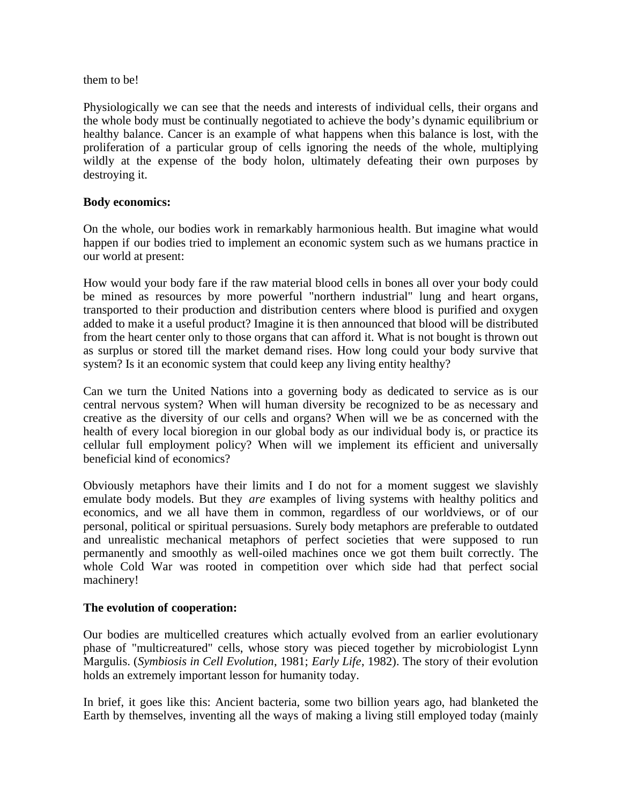#### them to be!

Physiologically we can see that the needs and interests of individual cells, their organs and the whole body must be continually negotiated to achieve the body's dynamic equilibrium or healthy balance. Cancer is an example of what happens when this balance is lost, with the proliferation of a particular group of cells ignoring the needs of the whole, multiplying wildly at the expense of the body holon, ultimately defeating their own purposes by destroying it.

#### **Body economics:**

On the whole, our bodies work in remarkably harmonious health. But imagine what would happen if our bodies tried to implement an economic system such as we humans practice in our world at present:

How would your body fare if the raw material blood cells in bones all over your body could be mined as resources by more powerful "northern industrial" lung and heart organs, transported to their production and distribution centers where blood is purified and oxygen added to make it a useful product? Imagine it is then announced that blood will be distributed from the heart center only to those organs that can afford it. What is not bought is thrown out as surplus or stored till the market demand rises. How long could your body survive that system? Is it an economic system that could keep any living entity healthy?

Can we turn the United Nations into a governing body as dedicated to service as is our central nervous system? When will human diversity be recognized to be as necessary and creative as the diversity of our cells and organs? When will we be as concerned with the health of every local bioregion in our global body as our individual body is, or practice its cellular full employment policy? When will we implement its efficient and universally beneficial kind of economics?

Obviously metaphors have their limits and I do not for a moment suggest we slavishly emulate body models. But they *are* examples of living systems with healthy politics and economics, and we all have them in common, regardless of our worldviews, or of our personal, political or spiritual persuasions. Surely body metaphors are preferable to outdated and unrealistic mechanical metaphors of perfect societies that were supposed to run permanently and smoothly as well-oiled machines once we got them built correctly. The whole Cold War was rooted in competition over which side had that perfect social machinery!

#### **The evolution of cooperation:**

Our bodies are multicelled creatures which actually evolved from an earlier evolutionary phase of "multicreatured" cells, whose story was pieced together by microbiologist Lynn Margulis. (*Symbiosis in Cell Evolution*, 1981; *Early Life*, 1982). The story of their evolution holds an extremely important lesson for humanity today.

In brief, it goes like this: Ancient bacteria, some two billion years ago, had blanketed the Earth by themselves, inventing all the ways of making a living still employed today (mainly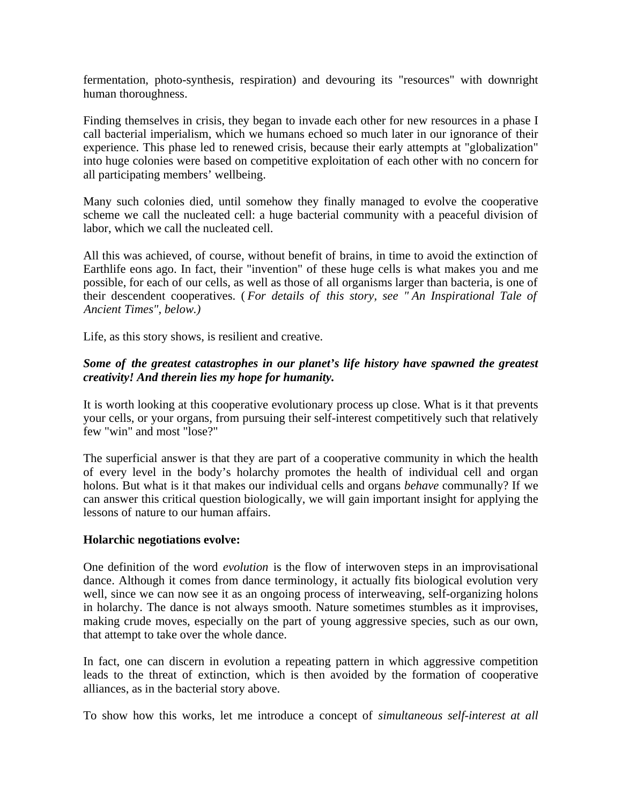fermentation, photo-synthesis, respiration) and devouring its "resources" with downright human thoroughness.

Finding themselves in crisis, they began to invade each other for new resources in a phase I call bacterial imperialism, which we humans echoed so much later in our ignorance of their experience. This phase led to renewed crisis, because their early attempts at "globalization" into huge colonies were based on competitive exploitation of each other with no concern for all participating members' wellbeing.

Many such colonies died, until somehow they finally managed to evolve the cooperative scheme we call the nucleated cell: a huge bacterial community with a peaceful division of labor, which we call the nucleated cell.

All this was achieved, of course, without benefit of brains, in time to avoid the extinction of Earthlife eons ago. In fact, their "invention" of these huge cells is what makes you and me possible, for each of our cells, as well as those of all organisms larger than bacteria, is one of their descendent cooperatives. ( *For details of this story, see " An Inspirational Tale of Ancient Times", below.)* 

Life, as this story shows, is resilient and creative.

## *Some of the greatest catastrophes in our planet's life history have spawned the greatest creativity! And therein lies my hope for humanity.*

It is worth looking at this cooperative evolutionary process up close. What is it that prevents your cells, or your organs, from pursuing their self-interest competitively such that relatively few "win" and most "lose?"

The superficial answer is that they are part of a cooperative community in which the health of every level in the body's holarchy promotes the health of individual cell and organ holons. But what is it that makes our individual cells and organs *behave* communally? If we can answer this critical question biologically, we will gain important insight for applying the lessons of nature to our human affairs.

#### **Holarchic negotiations evolve:**

One definition of the word *evolution* is the flow of interwoven steps in an improvisational dance. Although it comes from dance terminology, it actually fits biological evolution very well, since we can now see it as an ongoing process of interweaving, self-organizing holons in holarchy. The dance is not always smooth. Nature sometimes stumbles as it improvises, making crude moves, especially on the part of young aggressive species, such as our own, that attempt to take over the whole dance.

In fact, one can discern in evolution a repeating pattern in which aggressive competition leads to the threat of extinction, which is then avoided by the formation of cooperative alliances, as in the bacterial story above.

To show how this works, let me introduce a concept of *simultaneous self-interest at all*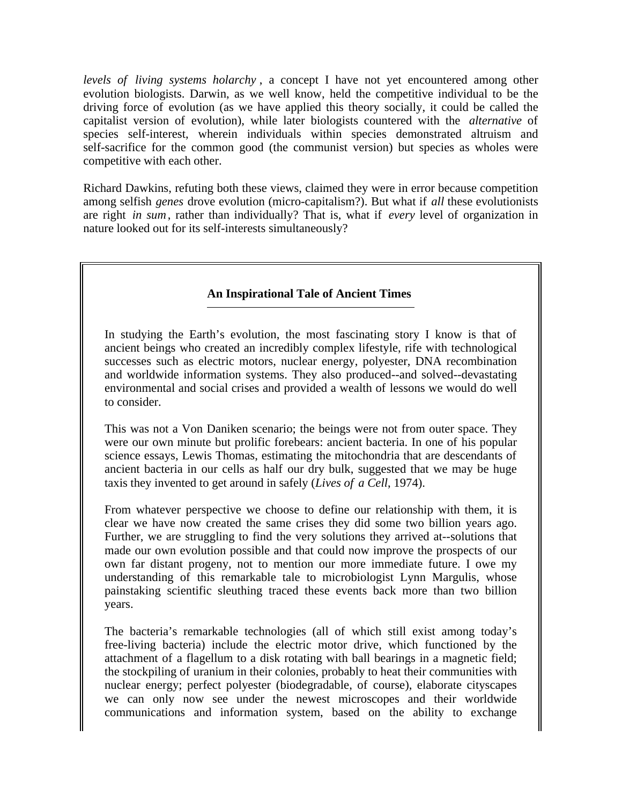*levels of living systems holarchy* , a concept I have not yet encountered among other evolution biologists. Darwin, as we well know, held the competitive individual to be the driving force of evolution (as we have applied this theory socially, it could be called the capitalist version of evolution), while later biologists countered with the *alternative* of species self-interest, wherein individuals within species demonstrated altruism and self-sacrifice for the common good (the communist version) but species as wholes were competitive with each other.

Richard Dawkins, refuting both these views, claimed they were in error because competition among selfish *genes* drove evolution (micro-capitalism?). But what if *all* these evolutionists are right *in sum*, rather than individually? That is, what if *every* level of organization in nature looked out for its self-interests simultaneously?

# **An Inspirational Tale of Ancient Times**

In studying the Earth's evolution, the most fascinating story I know is that of ancient beings who created an incredibly complex lifestyle, rife with technological successes such as electric motors, nuclear energy, polyester, DNA recombination and worldwide information systems. They also produced--and solved--devastating environmental and social crises and provided a wealth of lessons we would do well to consider.

This was not a Von Daniken scenario; the beings were not from outer space. They were our own minute but prolific forebears: ancient bacteria. In one of his popular science essays, Lewis Thomas, estimating the mitochondria that are descendants of ancient bacteria in our cells as half our dry bulk, suggested that we may be huge taxis they invented to get around in safely (*Lives of a Cell*, 1974).

From whatever perspective we choose to define our relationship with them, it is clear we have now created the same crises they did some two billion years ago. Further, we are struggling to find the very solutions they arrived at--solutions that made our own evolution possible and that could now improve the prospects of our own far distant progeny, not to mention our more immediate future. I owe my understanding of this remarkable tale to microbiologist Lynn Margulis, whose painstaking scientific sleuthing traced these events back more than two billion years.

The bacteria's remarkable technologies (all of which still exist among today's free-living bacteria) include the electric motor drive, which functioned by the attachment of a flagellum to a disk rotating with ball bearings in a magnetic field; the stockpiling of uranium in their colonies, probably to heat their communities with nuclear energy; perfect polyester (biodegradable, of course), elaborate cityscapes we can only now see under the newest microscopes and their worldwide communications and information system, based on the ability to exchange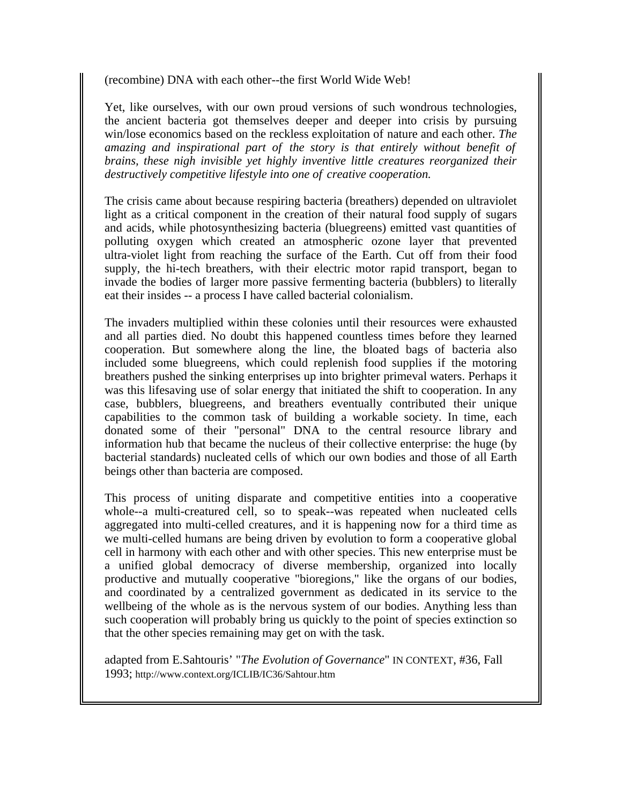(recombine) DNA with each other--the first World Wide Web!

Yet, like ourselves, with our own proud versions of such wondrous technologies, the ancient bacteria got themselves deeper and deeper into crisis by pursuing win/lose economics based on the reckless exploitation of nature and each other. *The amazing and inspirational part of the story is that entirely without benefit of brains, these nigh invisible yet highly inventive little creatures reorganized their destructively competitive lifestyle into one of creative cooperation.* 

The crisis came about because respiring bacteria (breathers) depended on ultraviolet light as a critical component in the creation of their natural food supply of sugars and acids, while photosynthesizing bacteria (bluegreens) emitted vast quantities of polluting oxygen which created an atmospheric ozone layer that prevented ultra-violet light from reaching the surface of the Earth. Cut off from their food supply, the hi-tech breathers, with their electric motor rapid transport, began to invade the bodies of larger more passive fermenting bacteria (bubblers) to literally eat their insides -- a process I have called bacterial colonialism.

The invaders multiplied within these colonies until their resources were exhausted and all parties died. No doubt this happened countless times before they learned cooperation. But somewhere along the line, the bloated bags of bacteria also included some bluegreens, which could replenish food supplies if the motoring breathers pushed the sinking enterprises up into brighter primeval waters. Perhaps it was this lifesaving use of solar energy that initiated the shift to cooperation. In any case, bubblers, bluegreens, and breathers eventually contributed their unique capabilities to the common task of building a workable society. In time, each donated some of their "personal" DNA to the central resource library and information hub that became the nucleus of their collective enterprise: the huge (by bacterial standards) nucleated cells of which our own bodies and those of all Earth beings other than bacteria are composed.

This process of uniting disparate and competitive entities into a cooperative whole--a multi-creatured cell, so to speak--was repeated when nucleated cells aggregated into multi-celled creatures, and it is happening now for a third time as we multi-celled humans are being driven by evolution to form a cooperative global cell in harmony with each other and with other species. This new enterprise must be a unified global democracy of diverse membership, organized into locally productive and mutually cooperative "bioregions," like the organs of our bodies, and coordinated by a centralized government as dedicated in its service to the wellbeing of the whole as is the nervous system of our bodies. Anything less than such cooperation will probably bring us quickly to the point of species extinction so that the other species remaining may get on with the task.

adapted from E.Sahtouris' "*The Evolution of Governance*" IN CONTEXT, #36, Fall 1993; http://www.context.org/ICLIB/IC36/Sahtour.htm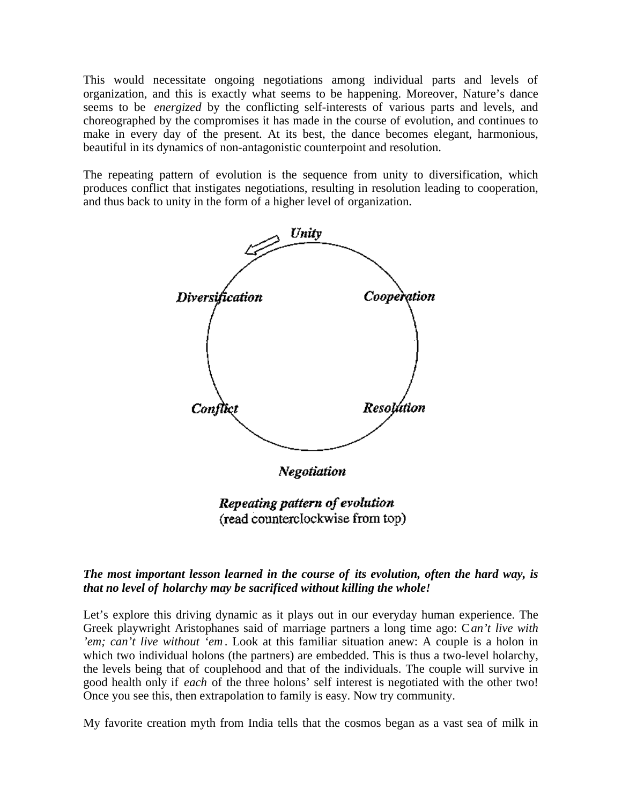This would necessitate ongoing negotiations among individual parts and levels of organization, and this is exactly what seems to be happening. Moreover, Nature's dance seems to be *energized* by the conflicting self-interests of various parts and levels, and choreographed by the compromises it has made in the course of evolution, and continues to make in every day of the present. At its best, the dance becomes elegant, harmonious, beautiful in its dynamics of non-antagonistic counterpoint and resolution.

The repeating pattern of evolution is the sequence from unity to diversification, which produces conflict that instigates negotiations, resulting in resolution leading to cooperation, and thus back to unity in the form of a higher level of organization.



Repeating pattern of evolution (read counterclockwise from top)

## *The most important lesson learned in the course of its evolution, often the hard way, is that no level of holarchy may be sacrificed without killing the whole!*

Let's explore this driving dynamic as it plays out in our everyday human experience. The Greek playwright Aristophanes said of marriage partners a long time ago: C*an't live with 'em; can't live without 'em*. Look at this familiar situation anew: A couple is a holon in which two individual holons (the partners) are embedded. This is thus a two-level holarchy, the levels being that of couplehood and that of the individuals. The couple will survive in good health only if *each* of the three holons' self interest is negotiated with the other two! Once you see this, then extrapolation to family is easy. Now try community.

My favorite creation myth from India tells that the cosmos began as a vast sea of milk in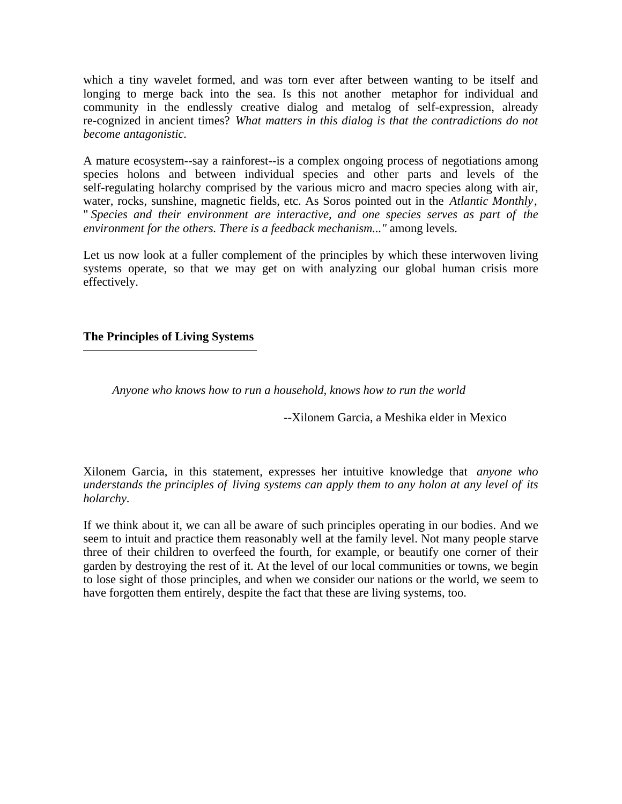which a tiny wavelet formed, and was torn ever after between wanting to be itself and longing to merge back into the sea. Is this not another metaphor for individual and community in the endlessly creative dialog and metalog of self-expression, already re-cognized in ancient times? *What matters in this dialog is that the contradictions do not become antagonistic.* 

A mature ecosystem--say a rainforest--is a complex ongoing process of negotiations among species holons and between individual species and other parts and levels of the self-regulating holarchy comprised by the various micro and macro species along with air, water, rocks, sunshine, magnetic fields, etc. As Soros pointed out in the *Atlantic Monthly*, " *Species and their environment are interactive, and one species serves as part of the environment for the others. There is a feedback mechanism..."* among levels.

Let us now look at a fuller complement of the principles by which these interwoven living systems operate, so that we may get on with analyzing our global human crisis more effectively.

#### **The Principles of Living Systems**

*Anyone who knows how to run a household, knows how to run the world* 

--Xilonem Garcia, a Meshika elder in Mexico

Xilonem Garcia, in this statement, expresses her intuitive knowledge that *anyone who understands the principles of living systems can apply them to any holon at any level of its holarchy*.

If we think about it, we can all be aware of such principles operating in our bodies. And we seem to intuit and practice them reasonably well at the family level. Not many people starve three of their children to overfeed the fourth, for example, or beautify one corner of their garden by destroying the rest of it. At the level of our local communities or towns, we begin to lose sight of those principles, and when we consider our nations or the world, we seem to have forgotten them entirely, despite the fact that these are living systems, too.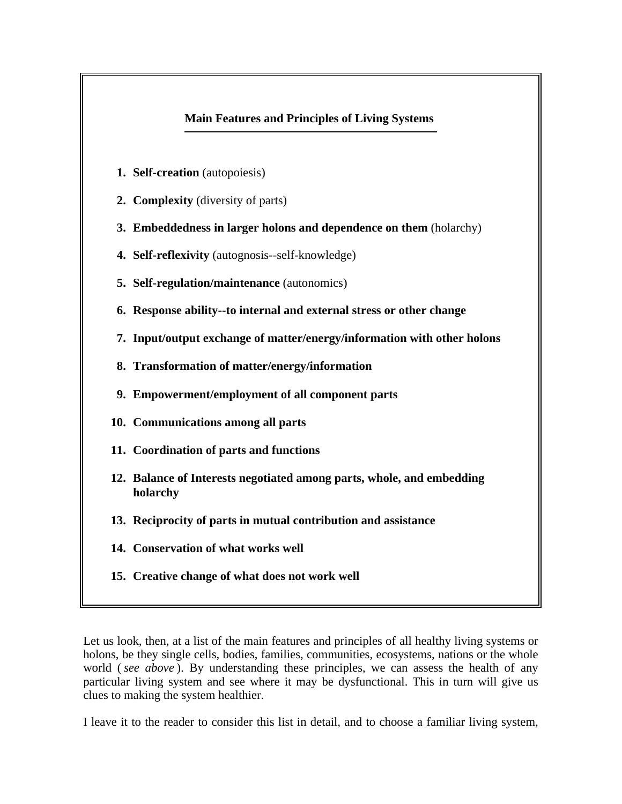# **Main Features and Principles of Living Systems**

- **1. Self-creation** (autopoiesis)
- **2. Complexity** (diversity of parts)
- **3. Embeddedness in larger holons and dependence on them** (holarchy)
- **4. Self-reflexivity** (autognosis--self-knowledge)
- **5. Self-regulation/maintenance** (autonomics)
- **6. Response ability--to internal and external stress or other change**
- **7. Input/output exchange of matter/energy/information with other holons**
- **8. Transformation of matter/energy/information**
- **9. Empowerment/employment of all component parts**
- **10. Communications among all parts**
- **11. Coordination of parts and functions**
- **12. Balance of Interests negotiated among parts, whole, and embedding holarchy**
- **13. Reciprocity of parts in mutual contribution and assistance**
- **14. Conservation of what works well**
- **15. Creative change of what does not work well**

Let us look, then, at a list of the main features and principles of all healthy living systems or holons, be they single cells, bodies, families, communities, ecosystems, nations or the whole world ( *see above* ). By understanding these principles, we can assess the health of any particular living system and see where it may be dysfunctional. This in turn will give us clues to making the system healthier.

I leave it to the reader to consider this list in detail, and to choose a familiar living system,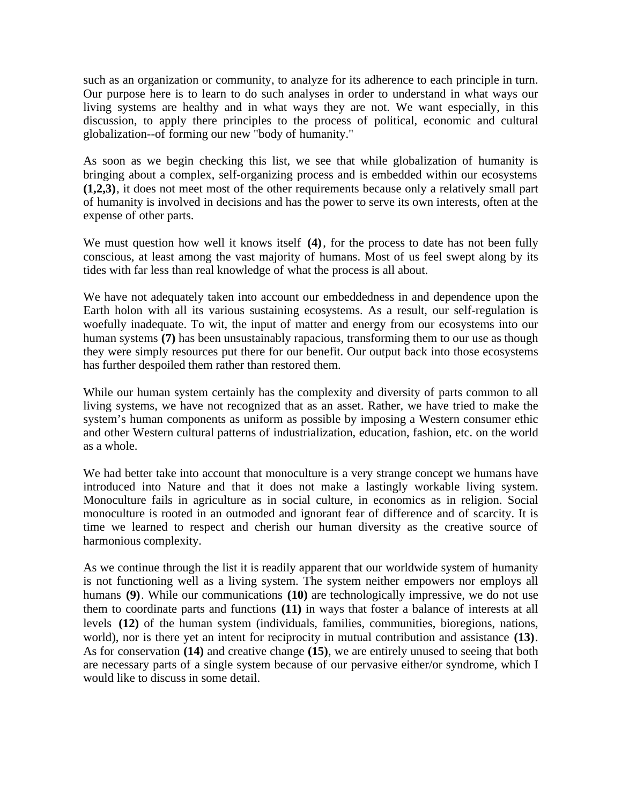such as an organization or community, to analyze for its adherence to each principle in turn. Our purpose here is to learn to do such analyses in order to understand in what ways our living systems are healthy and in what ways they are not. We want especially, in this discussion, to apply there principles to the process of political, economic and cultural globalization--of forming our new "body of humanity."

As soon as we begin checking this list, we see that while globalization of humanity is bringing about a complex, self-organizing process and is embedded within our ecosystems **(1,2,3)**, it does not meet most of the other requirements because only a relatively small part of humanity is involved in decisions and has the power to serve its own interests, often at the expense of other parts.

We must question how well it knows itself **(4)**, for the process to date has not been fully conscious, at least among the vast majority of humans. Most of us feel swept along by its tides with far less than real knowledge of what the process is all about.

We have not adequately taken into account our embeddedness in and dependence upon the Earth holon with all its various sustaining ecosystems. As a result, our self-regulation is woefully inadequate. To wit, the input of matter and energy from our ecosystems into our human systems **(7)** has been unsustainably rapacious, transforming them to our use as though they were simply resources put there for our benefit. Our output back into those ecosystems has further despoiled them rather than restored them.

While our human system certainly has the complexity and diversity of parts common to all living systems, we have not recognized that as an asset. Rather, we have tried to make the system's human components as uniform as possible by imposing a Western consumer ethic and other Western cultural patterns of industrialization, education, fashion, etc. on the world as a whole.

We had better take into account that monoculture is a very strange concept we humans have introduced into Nature and that it does not make a lastingly workable living system. Monoculture fails in agriculture as in social culture, in economics as in religion. Social monoculture is rooted in an outmoded and ignorant fear of difference and of scarcity. It is time we learned to respect and cherish our human diversity as the creative source of harmonious complexity.

As we continue through the list it is readily apparent that our worldwide system of humanity is not functioning well as a living system. The system neither empowers nor employs all humans **(9)**. While our communications **(10)** are technologically impressive, we do not use them to coordinate parts and functions **(11)** in ways that foster a balance of interests at all levels **(12)** of the human system (individuals, families, communities, bioregions, nations, world), nor is there yet an intent for reciprocity in mutual contribution and assistance **(13)**. As for conservation **(14)** and creative change **(15)**, we are entirely unused to seeing that both are necessary parts of a single system because of our pervasive either/or syndrome, which I would like to discuss in some detail.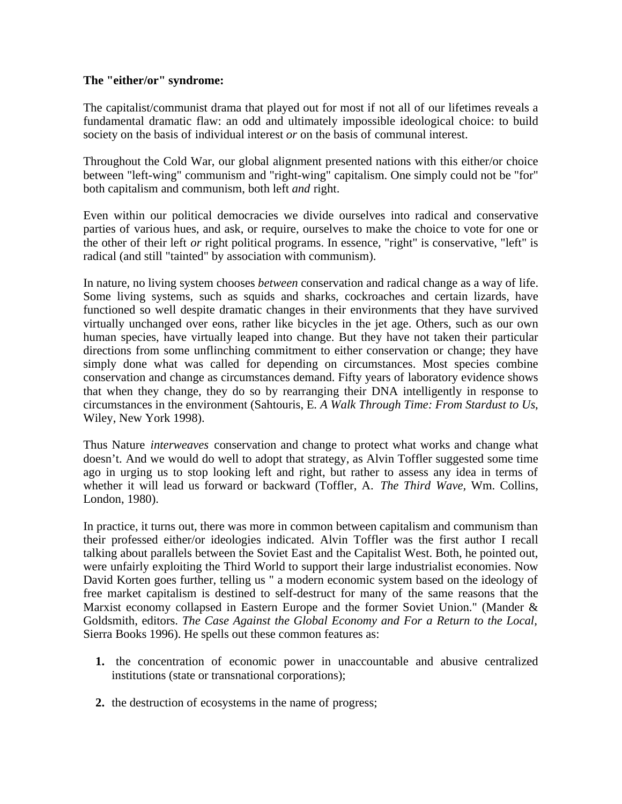#### **The "either/or" syndrome:**

The capitalist/communist drama that played out for most if not all of our lifetimes reveals a fundamental dramatic flaw: an odd and ultimately impossible ideological choice: to build society on the basis of individual interest *or* on the basis of communal interest.

Throughout the Cold War, our global alignment presented nations with this either/or choice between "left-wing" communism and "right-wing" capitalism. One simply could not be "for" both capitalism and communism, both left *and* right.

Even within our political democracies we divide ourselves into radical and conservative parties of various hues, and ask, or require, ourselves to make the choice to vote for one or the other of their left *or* right political programs. In essence, "right" is conservative, "left" is radical (and still "tainted" by association with communism).

In nature, no living system chooses *between* conservation and radical change as a way of life. Some living systems, such as squids and sharks, cockroaches and certain lizards, have functioned so well despite dramatic changes in their environments that they have survived virtually unchanged over eons, rather like bicycles in the jet age. Others, such as our own human species, have virtually leaped into change. But they have not taken their particular directions from some unflinching commitment to either conservation or change; they have simply done what was called for depending on circumstances. Most species combine conservation and change as circumstances demand. Fifty years of laboratory evidence shows that when they change, they do so by rearranging their DNA intelligently in response to circumstances in the environment (Sahtouris, E*. A Walk Through Time: From Stardust to Us*, Wiley, New York 1998).

Thus Nature *interweaves* conservation and change to protect what works and change what doesn't. And we would do well to adopt that strategy, as Alvin Toffler suggested some time ago in urging us to stop looking left and right, but rather to assess any idea in terms of whether it will lead us forward or backward (Toffler, A. *The Third Wave,* Wm. Collins, London, 1980).

In practice, it turns out, there was more in common between capitalism and communism than their professed either/or ideologies indicated. Alvin Toffler was the first author I recall talking about parallels between the Soviet East and the Capitalist West. Both, he pointed out, were unfairly exploiting the Third World to support their large industrialist economies. Now David Korten goes further, telling us " a modern economic system based on the ideology of free market capitalism is destined to self-destruct for many of the same reasons that the Marxist economy collapsed in Eastern Europe and the former Soviet Union." (Mander & Goldsmith, editors. *The Case Against the Global Economy and For a Return to the Local,* Sierra Books 1996). He spells out these common features as:

- **1.** the concentration of economic power in unaccountable and abusive centralized institutions (state or transnational corporations);
- **2.** the destruction of ecosystems in the name of progress;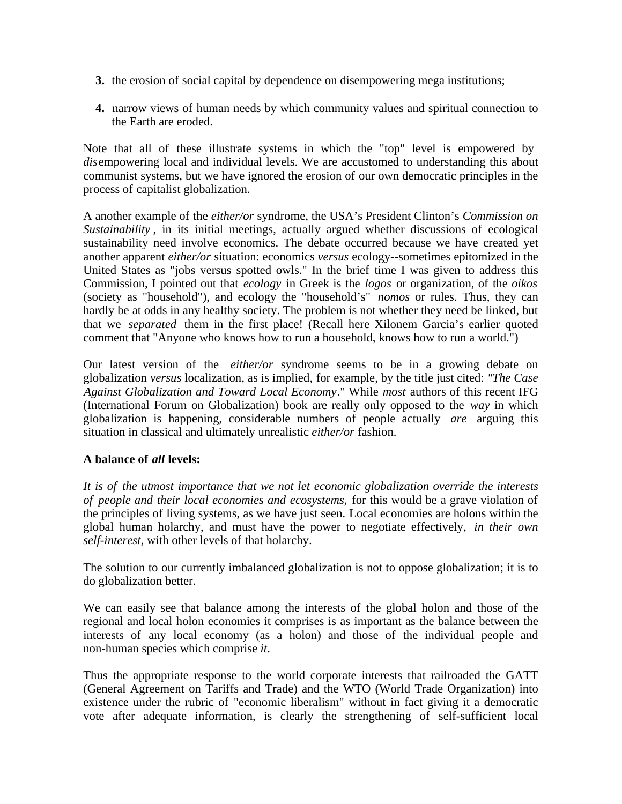- **3.** the erosion of social capital by dependence on disempowering mega institutions;
- **4.** narrow views of human needs by which community values and spiritual connection to the Earth are eroded.

Note that all of these illustrate systems in which the "top" level is empowered by *dis*empowering local and individual levels. We are accustomed to understanding this about communist systems, but we have ignored the erosion of our own democratic principles in the process of capitalist globalization.

A another example of the *either/or* syndrome, the USA's President Clinton's *Commission on Sustainability* , in its initial meetings, actually argued whether discussions of ecological sustainability need involve economics. The debate occurred because we have created yet another apparent *either/or* situation: economics *versus* ecology--sometimes epitomized in the United States as "jobs versus spotted owls." In the brief time I was given to address this Commission, I pointed out that *ecology* in Greek is the *logos* or organization, of the *oikos* (society as "household"), and ecology the "household's" *nomos* or rules. Thus, they can hardly be at odds in any healthy society. The problem is not whether they need be linked, but that we *separated* them in the first place! (Recall here Xilonem Garcia's earlier quoted comment that "Anyone who knows how to run a household, knows how to run a world.")

Our latest version of the *either/or* syndrome seems to be in a growing debate on globalization *versus* localization, as is implied*,* for example, by the title just cited: *"The Case Against Globalization and Toward Local Economy*." While *most* authors of this recent IFG (International Forum on Globalization) book are really only opposed to the *way* in which globalization is happening, considerable numbers of people actually *are* arguing this situation in classical and ultimately unrealistic *either/or* fashion.

# **A balance of** *all* **levels:**

*It is of the utmost importance that we not let economic globalization override the interests of people and their local economies and ecosystems,* for this would be a grave violation of the principles of living systems, as we have just seen*.* Local economies are holons within the global human holarchy, and must have the power to negotiate effectively, *in their own self-interest*, with other levels of that holarchy.

The solution to our currently imbalanced globalization is not to oppose globalization; it is to do globalization better.

We can easily see that balance among the interests of the global holon and those of the regional and local holon economies it comprises is as important as the balance between the interests of any local economy (as a holon) and those of the individual people and non-human species which comprise *it*.

Thus the appropriate response to the world corporate interests that railroaded the GATT (General Agreement on Tariffs and Trade) and the WTO (World Trade Organization) into existence under the rubric of "economic liberalism" without in fact giving it a democratic vote after adequate information, is clearly the strengthening of self-sufficient local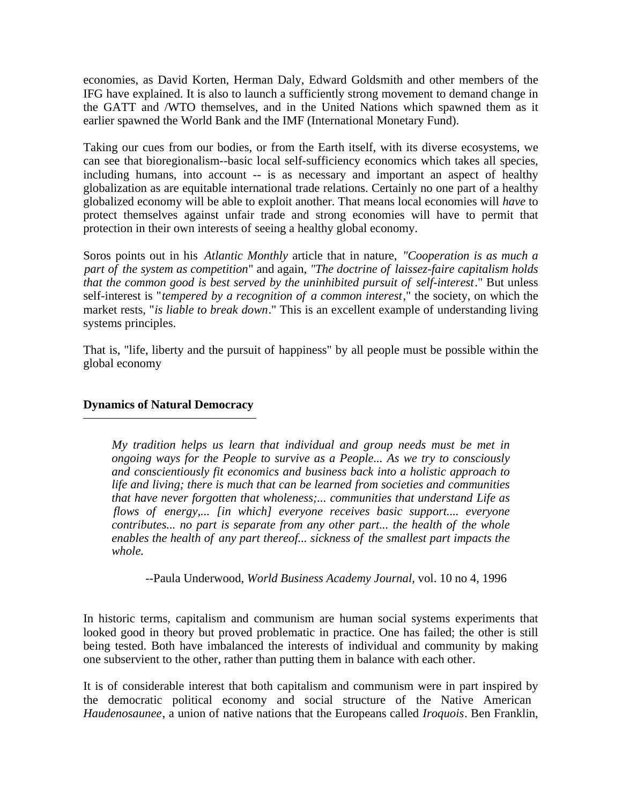economies, as David Korten, Herman Daly, Edward Goldsmith and other members of the IFG have explained. It is also to launch a sufficiently strong movement to demand change in the GATT and /WTO themselves, and in the United Nations which spawned them as it earlier spawned the World Bank and the IMF (International Monetary Fund).

Taking our cues from our bodies, or from the Earth itself, with its diverse ecosystems, we can see that bioregionalism--basic local self-sufficiency economics which takes all species, including humans, into account -- is as necessary and important an aspect of healthy globalization as are equitable international trade relations. Certainly no one part of a healthy globalized economy will be able to exploit another. That means local economies will *have* to protect themselves against unfair trade and strong economies will have to permit that protection in their own interests of seeing a healthy global economy.

Soros points out in his *Atlantic Monthly* article that in nature, *"Cooperation is as much a part of the system as competition*" and again, *"The doctrine of laissez-faire capitalism holds that the common good is best served by the uninhibited pursuit of self-interest*." But unless self-interest is "*tempered by a recognition of a common interest*," the society, on which the market rests, "*is liable to break down*." This is an excellent example of understanding living systems principles.

That is, "life, liberty and the pursuit of happiness" by all people must be possible within the global economy

#### **Dynamics of Natural Democracy**

*My tradition helps us learn that individual and group needs must be met in ongoing ways for the People to survive as a People... As we try to consciously and conscientiously fit economics and business back into a holistic approach to life and living; there is much that can be learned from societies and communities that have never forgotten that wholeness;... communities that understand Life as flows of energy,... [in which] everyone receives basic support.... everyone contributes... no part is separate from any other part... the health of the whole enables the health of any part thereof... sickness of the smallest part impacts the whole.* 

--Paula Underwood, *World Business Academy Journal*, vol. 10 no 4, 1996

In historic terms, capitalism and communism are human social systems experiments that looked good in theory but proved problematic in practice. One has failed; the other is still being tested. Both have imbalanced the interests of individual and community by making one subservient to the other, rather than putting them in balance with each other.

It is of considerable interest that both capitalism and communism were in part inspired by the democratic political economy and social structure of the Native American *Haudenosaunee*, a union of native nations that the Europeans called *Iroquois*. Ben Franklin,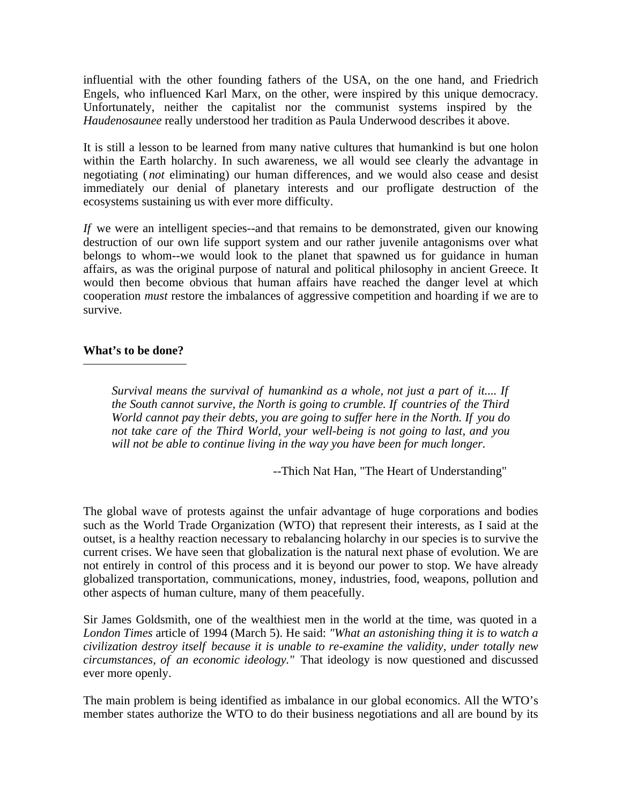influential with the other founding fathers of the USA, on the one hand, and Friedrich Engels, who influenced Karl Marx, on the other, were inspired by this unique democracy. Unfortunately, neither the capitalist nor the communist systems inspired by the *Haudenosaunee* really understood her tradition as Paula Underwood describes it above.

It is still a lesson to be learned from many native cultures that humankind is but one holon within the Earth holarchy. In such awareness, we all would see clearly the advantage in negotiating ( *not* eliminating) our human differences, and we would also cease and desist immediately our denial of planetary interests and our profligate destruction of the ecosystems sustaining us with ever more difficulty.

*If* we were an intelligent species--and that remains to be demonstrated, given our knowing destruction of our own life support system and our rather juvenile antagonisms over what belongs to whom--we would look to the planet that spawned us for guidance in human affairs, as was the original purpose of natural and political philosophy in ancient Greece. It would then become obvious that human affairs have reached the danger level at which cooperation *must* restore the imbalances of aggressive competition and hoarding if we are to survive.

## **What's to be done?**

*Survival means the survival of humankind as a whole, not just a part of it.... If the South cannot survive, the North is going to crumble. If countries of the Third World cannot pay their debts, you are going to suffer here in the North. If you do not take care of the Third World, your well-being is not going to last, and you* will not be able to continue living in the way you have been for much longer.

--Thich Nat Han, "The Heart of Understanding"

The global wave of protests against the unfair advantage of huge corporations and bodies such as the World Trade Organization (WTO) that represent their interests, as I said at the outset, is a healthy reaction necessary to rebalancing holarchy in our species is to survive the current crises. We have seen that globalization is the natural next phase of evolution. We are not entirely in control of this process and it is beyond our power to stop. We have already globalized transportation, communications, money, industries, food, weapons, pollution and other aspects of human culture, many of them peacefully.

Sir James Goldsmith, one of the wealthiest men in the world at the time, was quoted in a *London Times* article of 1994 (March 5). He said: *"What an astonishing thing it is to watch a civilization destroy itself because it is unable to re-examine the validity, under totally new circumstances, of an economic ideology."* That ideology is now questioned and discussed ever more openly.

The main problem is being identified as imbalance in our global economics. All the WTO's member states authorize the WTO to do their business negotiations and all are bound by its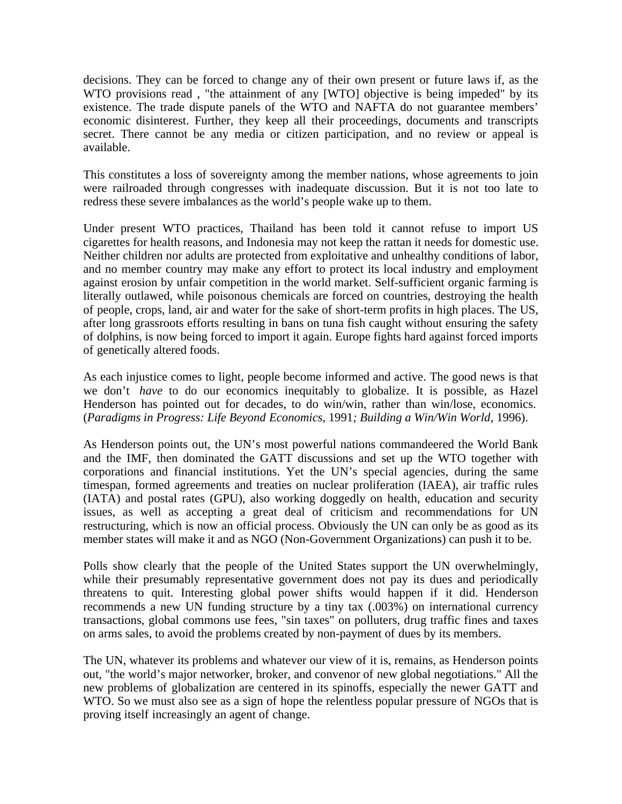decisions. They can be forced to change any of their own present or future laws if, as the WTO provisions read , "the attainment of any [WTO] objective is being impeded" by its existence. The trade dispute panels of the WTO and NAFTA do not guarantee members' economic disinterest. Further, they keep all their proceedings, documents and transcripts secret. There cannot be any media or citizen participation, and no review or appeal is available.

This constitutes a loss of sovereignty among the member nations, whose agreements to join were railroaded through congresses with inadequate discussion. But it is not too late to redress these severe imbalances as the world's people wake up to them.

Under present WTO practices, Thailand has been told it cannot refuse to import US cigarettes for health reasons, and Indonesia may not keep the rattan it needs for domestic use. Neither children nor adults are protected from exploitative and unhealthy conditions of labor, and no member country may make any effort to protect its local industry and employment against erosion by unfair competition in the world market. Self-sufficient organic farming is literally outlawed, while poisonous chemicals are forced on countries, destroying the health of people, crops, land, air and water for the sake of short-term profits in high places. The US, after long grassroots efforts resulting in bans on tuna fish caught without ensuring the safety of dolphins, is now being forced to import it again. Europe fights hard against forced imports of genetically altered foods.

As each injustice comes to light, people become informed and active. The good news is that we don't *have* to do our economics inequitably to globalize. It is possible, as Hazel Henderson has pointed out for decades, to do win/win, rather than win/lose, economics. (*Paradigms in Progress: Life Beyond Economics*, 1991*; Building a Win/Win World*, 1996).

As Henderson points out, the UN's most powerful nations commandeered the World Bank and the IMF, then dominated the GATT discussions and set up the WTO together with corporations and financial institutions. Yet the UN's special agencies, during the same timespan, formed agreements and treaties on nuclear proliferation (IAEA), air traffic rules (IATA) and postal rates (GPU), also working doggedly on health, education and security issues, as well as accepting a great deal of criticism and recommendations for UN restructuring, which is now an official process. Obviously the UN can only be as good as its member states will make it and as NGO (Non-Government Organizations) can push it to be.

Polls show clearly that the people of the United States support the UN overwhelmingly, while their presumably representative government does not pay its dues and periodically threatens to quit. Interesting global power shifts would happen if it did. Henderson recommends a new UN funding structure by a tiny tax (.003%) on international currency transactions, global commons use fees, "sin taxes" on polluters, drug traffic fines and taxes on arms sales, to avoid the problems created by non-payment of dues by its members.

The UN, whatever its problems and whatever our view of it is, remains, as Henderson points out, "the world's major networker, broker, and convenor of new global negotiations." All the new problems of globalization are centered in its spinoffs, especially the newer GATT and WTO. So we must also see as a sign of hope the relentless popular pressure of NGOs that is proving itself increasingly an agent of change.